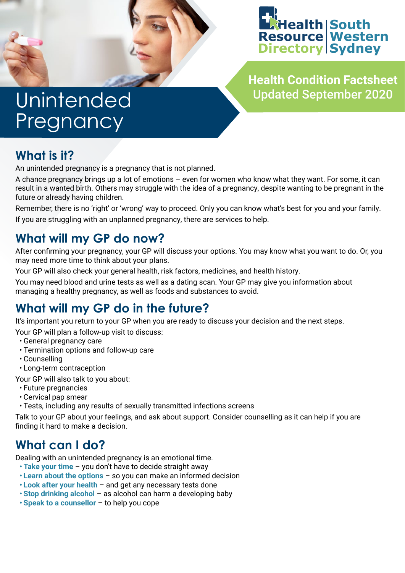



**Health Condition Factsheet** Updated September 2020

## **Unintended** Pregnancy

#### **What is it?**

An unintended pregnancy is a pregnancy that is not planned.

A chance pregnancy brings up a lot of emotions – even for women who know what they want. For some, it can result in a wanted birth. Others may struggle with the idea of a pregnancy, despite wanting to be pregnant in the future or already having children.

Remember, there is no 'right' or 'wrong' way to proceed. Only you can know what's best for you and your family.

If you are struggling with an unplanned pregnancy, there are services to help.

## **What will my GP do now?**

After confirming your pregnancy, your GP will discuss your options. You may know what you want to do. Or, you may need more time to think about your plans.

Your GP will also check your general health, risk factors, medicines, and health history.

You may need blood and urine tests as well as a dating scan. Your GP may give you information about managing a healthy pregnancy, as well as foods and substances to avoid.

### **What will my GP do in the future?**

It's important you return to your GP when you are ready to discuss your decision and the next steps.

Your GP will plan a follow-up visit to discuss:

- General pregnancy care
- Termination options and follow-up care
- Counselling
- Long-term contraception

Your GP will also talk to you about:

- Future pregnancies
- Cervical pap smear
- Tests, including any results of sexually transmitted infections screens

Talk to your GP about your feelings, and ask about support. Consider counselling as it can help if you are finding it hard to make a decision.

### **What can I do?**

Dealing with an unintended pregnancy is an emotional time.

- **• Take your time** you don't have to decide straight away
- **• Learn about the options** so you can make an informed decision
- **• Look after your health** and get any necessary tests done
- **• Stop drinking alcohol** as alcohol can harm a developing baby
- **• Speak to a counsellor** to help you cope